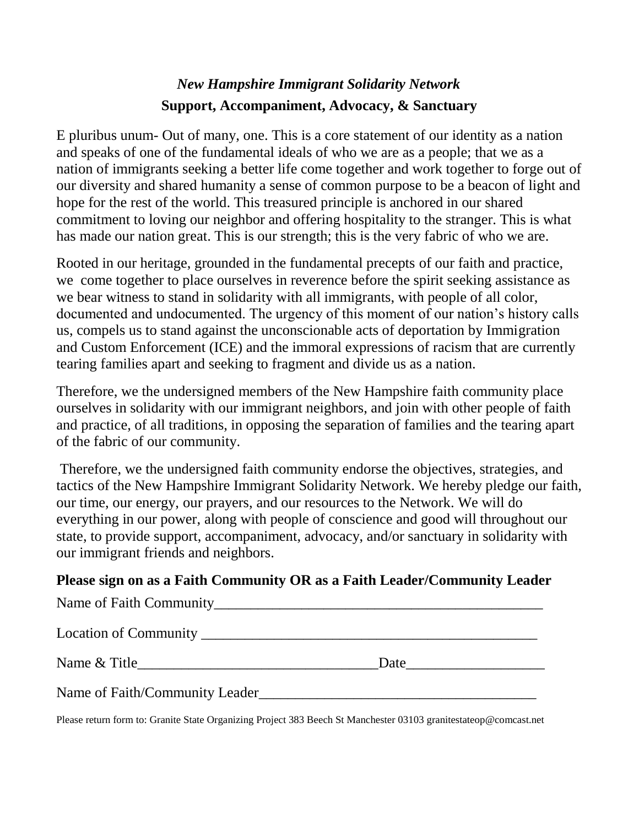## *New Hampshire Immigrant Solidarity Network* **Support, Accompaniment, Advocacy, & Sanctuary**

E pluribus unum- Out of many, one. This is a core statement of our identity as a nation and speaks of one of the fundamental ideals of who we are as a people; that we as a nation of immigrants seeking a better life come together and work together to forge out of our diversity and shared humanity a sense of common purpose to be a beacon of light and hope for the rest of the world. This treasured principle is anchored in our shared commitment to loving our neighbor and offering hospitality to the stranger. This is what has made our nation great. This is our strength; this is the very fabric of who we are.

Rooted in our heritage, grounded in the fundamental precepts of our faith and practice, we come together to place ourselves in reverence before the spirit seeking assistance as we bear witness to stand in solidarity with all immigrants, with people of all color, documented and undocumented. The urgency of this moment of our nation's history calls us, compels us to stand against the unconscionable acts of deportation by Immigration and Custom Enforcement (ICE) and the immoral expressions of racism that are currently tearing families apart and seeking to fragment and divide us as a nation.

Therefore, we the undersigned members of the New Hampshire faith community place ourselves in solidarity with our immigrant neighbors, and join with other people of faith and practice, of all traditions, in opposing the separation of families and the tearing apart of the fabric of our community.

Therefore, we the undersigned faith community endorse the objectives, strategies, and tactics of the New Hampshire Immigrant Solidarity Network. We hereby pledge our faith, our time, our energy, our prayers, and our resources to the Network. We will do everything in our power, along with people of conscience and good will throughout our state, to provide support, accompaniment, advocacy, and/or sanctuary in solidarity with our immigrant friends and neighbors.

## **Please sign on as a Faith Community OR as a Faith Leader/Community Leader**

| Name & Title                   | Date |  |
|--------------------------------|------|--|
| Name of Faith/Community Leader |      |  |

Please return form to: Granite State Organizing Project 383 Beech St Manchester 03103 granitestateop@comcast.net